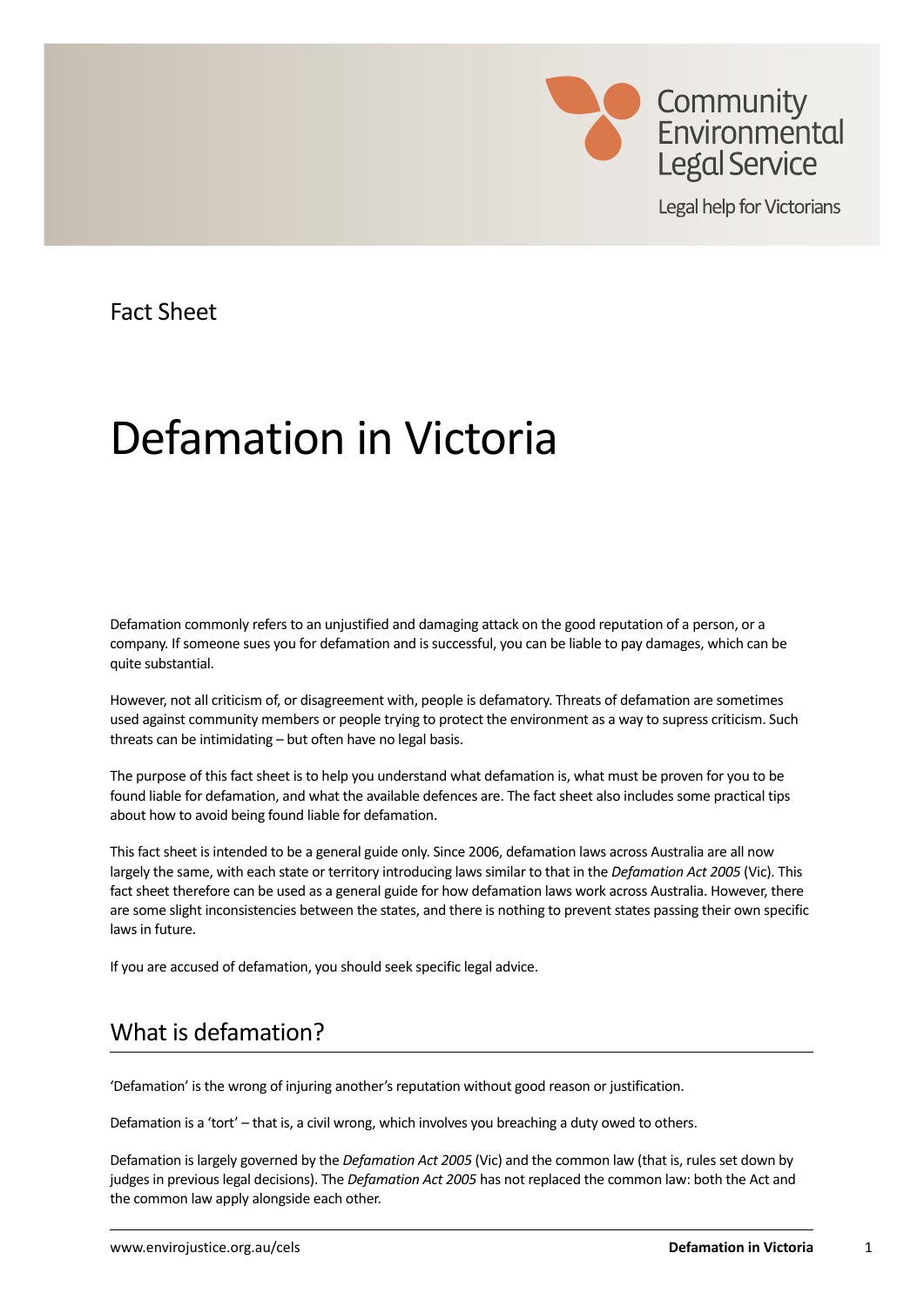

Legal help for Victorians

Fact Sheet

# Defamation in Victoria

Defamation commonly refers to an unjustified and damaging attack on the good reputation of a person, or a company. If someone sues you for defamation and is successful, you can be liable to pay damages, which can be quite substantial.

However, not all criticism of, or disagreement with, people is defamatory. Threats of defamation are sometimes used against community members or people trying to protect the environment as a way to supress criticism. Such threats can be intimidating – but often have no legal basis.

The purpose of this fact sheet is to help you understand what defamation is, what must be proven for you to be found liable for defamation, and what the available defences are. The fact sheet also includes some practical tips about how to avoid being found liable for defamation.

This fact sheet is intended to be a general guide only. Since 2006, defamation laws across Australia are all now largely the same, with each state or territory introducing laws similar to that in the *Defamation Act 2005* (Vic). This fact sheet therefore can be used as a general guide for how defamation laws work across Australia. However, there are some slight inconsistencies between the states, and there is nothing to prevent states passing their own specific laws in future.

If you are accused of defamation, you should seek specific legal advice.

# What is defamation?

'Defamation' is the wrong of injuring another's reputation without good reason or justification.

Defamation is a 'tort' – that is, a civil wrong, which involves you breaching a duty owed to others.

Defamation is largely governed by the *Defamation Act 2005* (Vic) and the common law (that is, rules set down by judges in previous legal decisions). The *Defamation Act 2005* has not replaced the common law: both the Act and the common law apply alongside each other.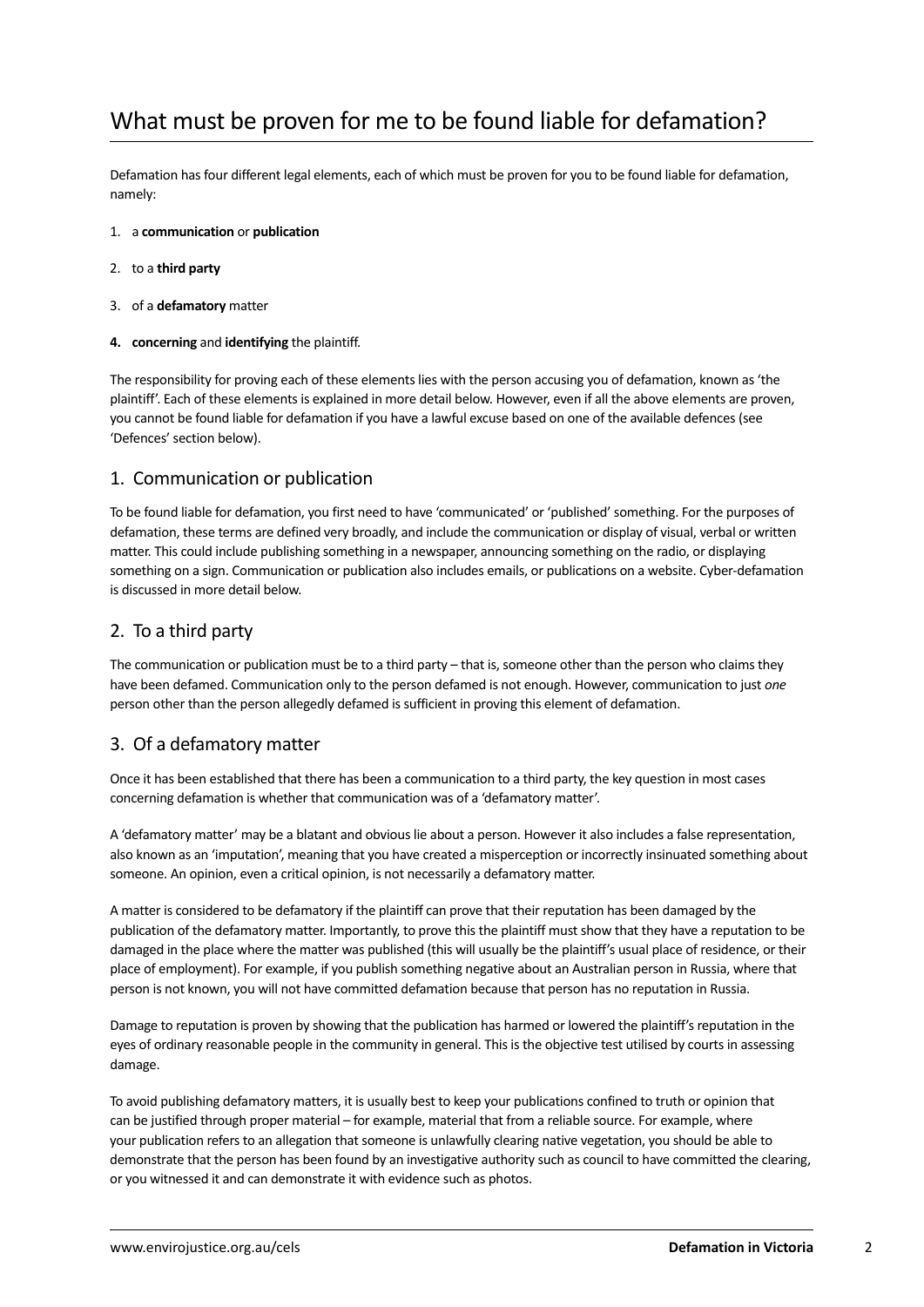# What must be proven for me to be found liable for defamation?

Defamation has four different legal elements, each of which must be proven for you to be found liable for defamation, namely:

- 1. a **communication** or **publication**
- 2. to a **third party**
- 3. of a **defamatory** matter
- **4. concerning** and **identifying** the plaintiff.

The responsibility for proving each of these elements lies with the person accusing you of defamation, known as 'the plaintiff'. Each of these elements is explained in more detail below. However, even if all the above elements are proven, you cannot be found liable for defamation if you have a lawful excuse based on one of the available defences (see 'Defences' section below).

#### 1. Communication or publication

To be found liable for defamation, you first need to have 'communicated' or 'published' something. For the purposes of defamation, these terms are defined very broadly, and include the communication or display of visual, verbal or written matter. This could include publishing something in a newspaper, announcing something on the radio, or displaying something on a sign. Communication or publication also includes emails, or publications on a website. Cyber-defamation is discussed in more detail below.

#### 2. To a third party

The communication or publication must be to a third party – that is, someone other than the person who claims they have been defamed. Communication only to the person defamed is not enough. However, communication to just *one* person other than the person allegedly defamed is sufficient in proving this element of defamation.

#### 3. Of a defamatory matter

Once it has been established that there has been a communication to a third party, the key question in most cases concerning defamation is whether that communication was of a 'defamatory matter'.

A 'defamatory matter' may be a blatant and obvious lie about a person. However it also includes a false representation, also known as an 'imputation', meaning that you have created a misperception or incorrectly insinuated something about someone. An opinion, even a critical opinion, is not necessarily a defamatory matter.

A matter is considered to be defamatory if the plaintiff can prove that their reputation has been damaged by the publication of the defamatory matter. Importantly, to prove this the plaintiff must show that they have a reputation to be damaged in the place where the matter was published (this will usually be the plaintiff's usual place of residence, or their place of employment). For example, if you publish something negative about an Australian person in Russia, where that person is not known, you will not have committed defamation because that person has no reputation in Russia.

Damage to reputation is proven by showing that the publication has harmed or lowered the plaintiff's reputation in the eyes of ordinary reasonable people in the community in general. This is the objective test utilised by courts in assessing damage.

To avoid publishing defamatory matters, it is usually best to keep your publications confined to truth or opinion that can be justified through proper material – for example, material that from a reliable source. For example, where your publication refers to an allegation that someone is unlawfully clearing native vegetation, you should be able to demonstrate that the person has been found by an investigative authority such as council to have committed the clearing, or you witnessed it and can demonstrate it with evidence such as photos.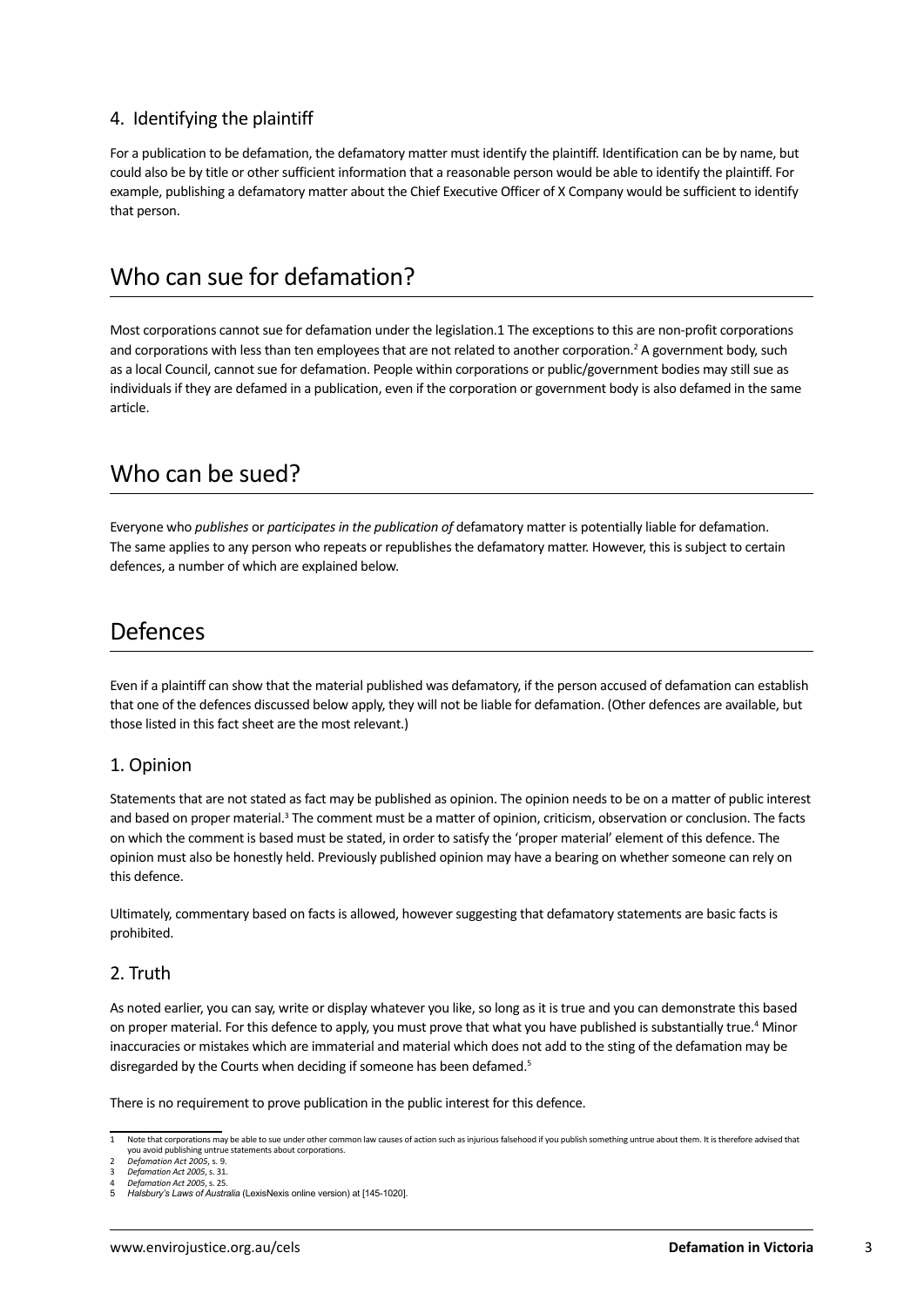#### 4. Identifying the plaintiff

For a publication to be defamation, the defamatory matter must identify the plaintiff. Identification can be by name, but could also be by title or other sufficient information that a reasonable person would be able to identify the plaintiff. For example, publishing a defamatory matter about the Chief Executive Officer of X Company would be sufficient to identify that person.

### Who can sue for defamation?

Most corporations cannot sue for defamation under the legislation.1 The exceptions to this are non-profit corporations and corporations with less than ten employees that are not related to another corporation.<sup>2</sup> A government body, such as a local Council, cannot sue for defamation. People within corporations or public/government bodies may still sue as individuals if they are defamed in a publication, even if the corporation or government body is also defamed in the same article.

### Who can be sued?

Everyone who *publishes* or *participates in the publication of* defamatory matter is potentially liable for defamation. The same applies to any person who repeats or republishes the defamatory matter. However, this is subject to certain defences, a number of which are explained below.

### Defences

Even if a plaintiff can show that the material published was defamatory, if the person accused of defamation can establish that one of the defences discussed below apply, they will not be liable for defamation. (Other defences are available, but those listed in this fact sheet are the most relevant.)

#### 1. Opinion

Statements that are not stated as fact may be published as opinion. The opinion needs to be on a matter of public interest and based on proper material.<sup>3</sup> The comment must be a matter of opinion, criticism, observation or conclusion. The facts on which the comment is based must be stated, in order to satisfy the 'proper material' element of this defence. The opinion must also be honestly held. Previously published opinion may have a bearing on whether someone can rely on this defence.

Ultimately, commentary based on facts is allowed, however suggesting that defamatory statements are basic facts is prohibited.

#### 2. Truth

As noted earlier, you can say, write or display whatever you like, so long as it is true and you can demonstrate this based on proper material. For this defence to apply, you must prove that what you have published is substantially true.<sup>4</sup> Minor inaccuracies or mistakes which are immaterial and material which does not add to the sting of the defamation may be disregarded by the Courts when deciding if someone has been defamed.<sup>5</sup>

There is no requirement to prove publication in the public interest for this defence.

<sup>1</sup> Note that corporations may be able to sue under other common law causes of action such as injurious falsehood if you publish something untrue about them. It is therefore advised that you avoid publishing untrue statements about corporations. 2 *Defamation Act 2005*, s. 9.

<sup>3</sup> *Defamation Act 2005*, s. 31.

<sup>4</sup> *Defamation Act 2005*, s. 25. 5 *Halsbury's Laws of Australia* (LexisNexis online version) at [145-1020].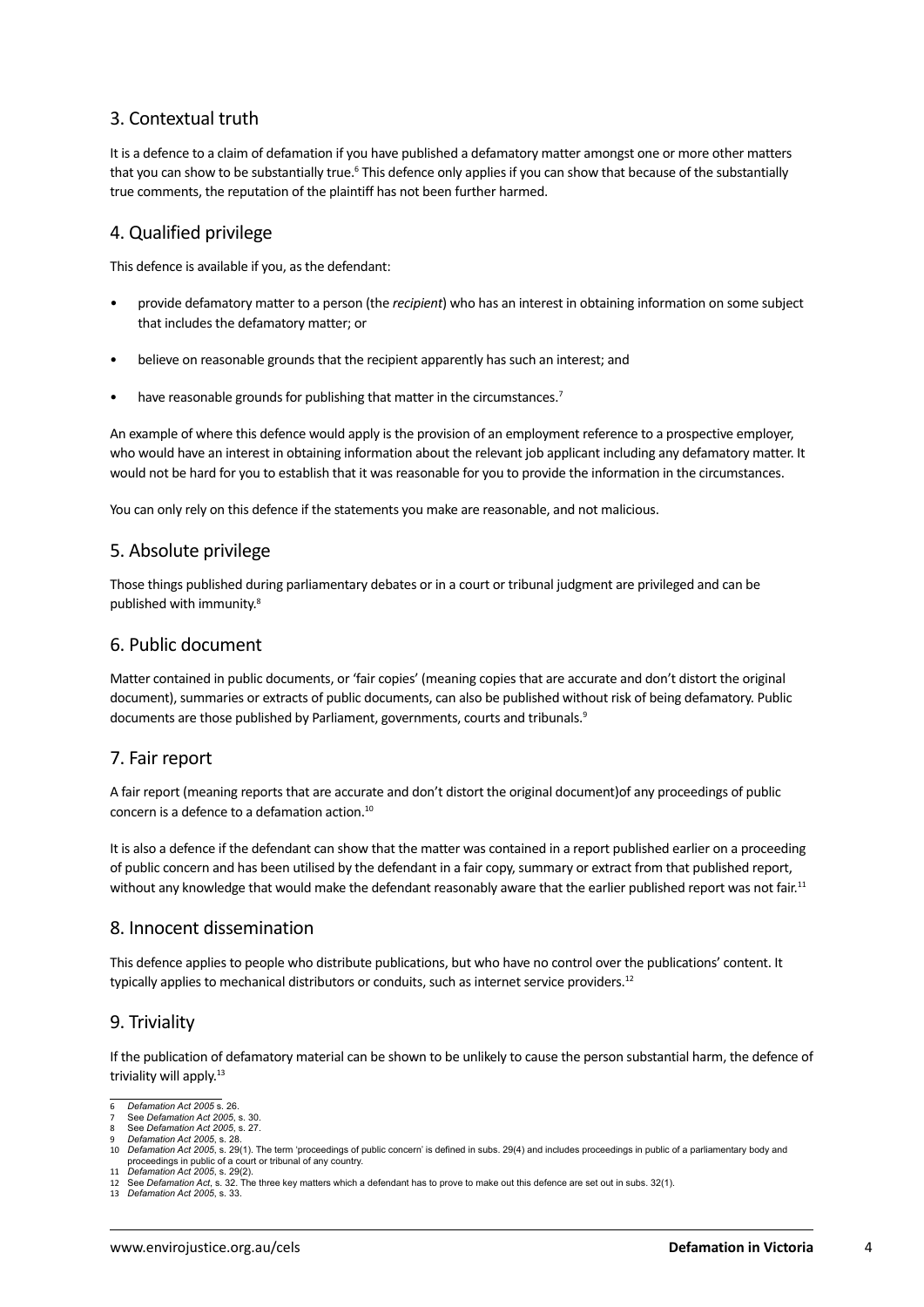#### 3. Contextual truth

It is a defence to a claim of defamation if you have published a defamatory matter amongst one or more other matters that you can show to be substantially true.<sup>6</sup> This defence only applies if you can show that because of the substantially true comments, the reputation of the plaintiff has not been further harmed.

#### 4. Qualified privilege

This defence is available if you, as the defendant:

- provide defamatory matter to a person (the *recipient*) who has an interest in obtaining information on some subject that includes the defamatory matter; or
- believe on reasonable grounds that the recipient apparently has such an interest; and
- have reasonable grounds for publishing that matter in the circumstances.<sup>7</sup>

An example of where this defence would apply is the provision of an employment reference to a prospective employer, who would have an interest in obtaining information about the relevant job applicant including any defamatory matter. It would not be hard for you to establish that it was reasonable for you to provide the information in the circumstances.

You can only rely on this defence if the statements you make are reasonable, and not malicious.

#### 5. Absolute privilege

Those things published during parliamentary debates or in a court or tribunal judgment are privileged and can be published with immunity.8

#### 6. Public document

Matter contained in public documents, or 'fair copies' (meaning copies that are accurate and don't distort the original document), summaries or extracts of public documents, can also be published without risk of being defamatory. Public documents are those published by Parliament, governments, courts and tribunals.<sup>9</sup>

#### 7. Fair report

A fair report (meaning reports that are accurate and don't distort the original document)of any proceedings of public concern is a defence to a defamation action.10

It is also a defence if the defendant can show that the matter was contained in a report published earlier on a proceeding of public concern and has been utilised by the defendant in a fair copy, summary or extract from that published report, without any knowledge that would make the defendant reasonably aware that the earlier published report was not fair.<sup>11</sup>

#### 8. Innocent dissemination

This defence applies to people who distribute publications, but who have no control over the publications' content. It typically applies to mechanical distributors or conduits, such as internet service providers.<sup>12</sup>

#### 9. Triviality

If the publication of defamatory material can be shown to be unlikely to cause the person substantial harm, the defence of triviality will apply.<sup>13</sup>

<sup>6</sup> *Defamation Act 2005* s. 26.

<sup>7</sup> See *Defamation Act 2005*, s. 30.

<sup>8</sup> See *Defamation Act 2005*, s. 27.

<sup>9</sup> *Defamation Act 2005*, s. 28. 10 *Defamation Act 2005*, s. 29(1). The term 'proceedings of public concern' is defined in subs. 29(4) and includes proceedings in public of a parliamentary body and proceedings in public of a court or tribunal of any country.

<sup>11</sup> *Defamation Act 2005*, s. 29(2). 12 See *Defamation Act*, s. 32. The three key matters which a defendant has to prove to make out this defence are set out in subs. 32(1).

<sup>13</sup> *Defamation Act 2005*, s. 33.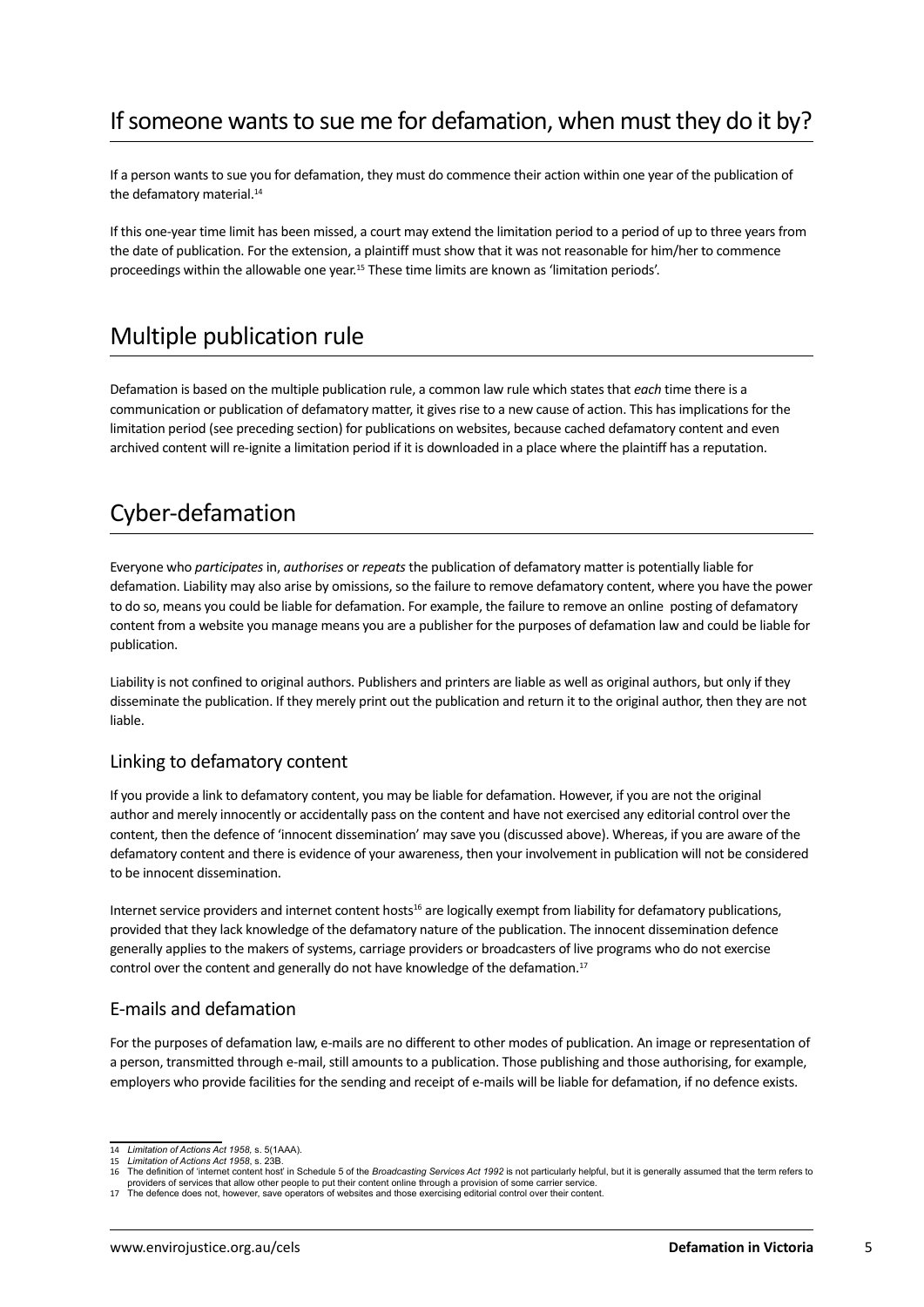## If someone wants to sue me for defamation, when must they do it by?

If a person wants to sue you for defamation, they must do commence their action within one year of the publication of the defamatory material.<sup>14</sup>

If this one-year time limit has been missed, a court may extend the limitation period to a period of up to three years from the date of publication. For the extension, a plaintiff must show that it was not reasonable for him/her to commence proceedings within the allowable one year.15 These time limits are known as 'limitation periods'.

### Multiple publication rule

Defamation is based on the multiple publication rule, a common law rule which states that *each* time there is a communication or publication of defamatory matter, it gives rise to a new cause of action. This has implications for the limitation period (see preceding section) for publications on websites, because cached defamatory content and even archived content will re-ignite a limitation period if it is downloaded in a place where the plaintiff has a reputation.

### Cyber-defamation

Everyone who *participates* in, *authorises* or *repeats* the publication of defamatory matter is potentially liable for defamation. Liability may also arise by omissions, so the failure to remove defamatory content, where you have the power to do so, means you could be liable for defamation. For example, the failure to remove an online posting of defamatory content from a website you manage means you are a publisher for the purposes of defamation law and could be liable for publication.

Liability is not confined to original authors. Publishers and printers are liable as well as original authors, but only if they disseminate the publication. If they merely print out the publication and return it to the original author, then they are not liable.

#### Linking to defamatory content

If you provide a link to defamatory content, you may be liable for defamation. However, if you are not the original author and merely innocently or accidentally pass on the content and have not exercised any editorial control over the content, then the defence of 'innocent dissemination' may save you (discussed above). Whereas, if you are aware of the defamatory content and there is evidence of your awareness, then your involvement in publication will not be considered to be innocent dissemination.

Internet service providers and internet content hosts16 are logically exempt from liability for defamatory publications, provided that they lack knowledge of the defamatory nature of the publication. The innocent dissemination defence generally applies to the makers of systems, carriage providers or broadcasters of live programs who do not exercise control over the content and generally do not have knowledge of the defamation.<sup>17</sup>

#### E-mails and defamation

For the purposes of defamation law, e-mails are no different to other modes of publication. An image or representation of a person, transmitted through e-mail, still amounts to a publication. Those publishing and those authorising, for example, employers who provide facilities for the sending and receipt of e-mails will be liable for defamation, if no defence exists.

<sup>14</sup> *Limitation of Actions Act 1958,* s. 5(1AAA).

<sup>15</sup> *Limitation of Actions Act 1958*, s. 23B.

<sup>16</sup> The definition of 'internet content host' in Schedule 5 of the *Broadcasting Services Act 1992* is not particularly helpful, but it is generally assumed that the term refers to providers of services that allow other people to put their content online through a provision of some carrier service.<br>The defence does not, however, save operators of websites and those exercising editorial control over t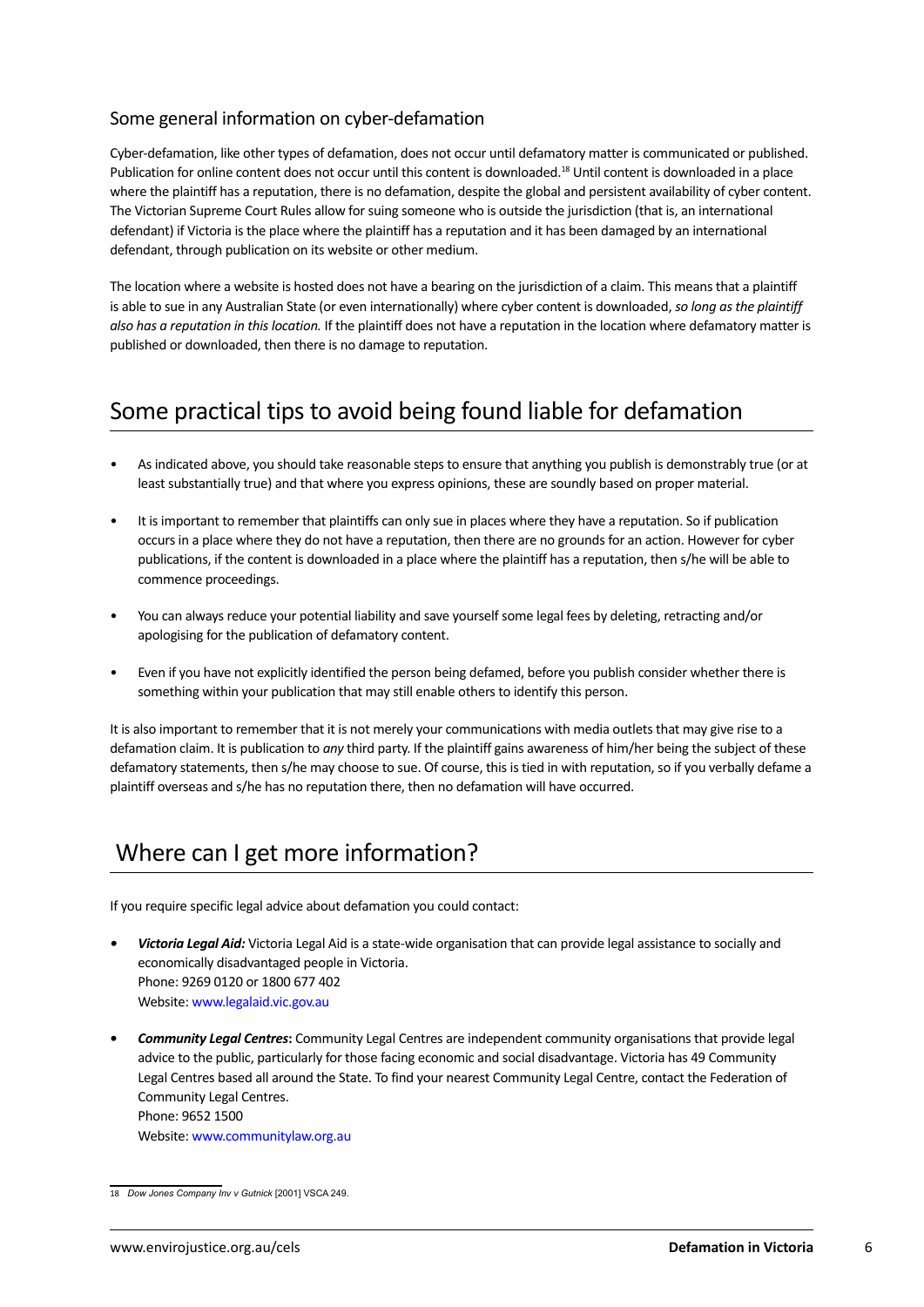### Some general information on cyber-defamation

Cyber-defamation, like other types of defamation, does not occur until defamatory matter is communicated or published. Publication for online content does not occur until this content is downloaded.18 Until content is downloaded in a place where the plaintiff has a reputation, there is no defamation, despite the global and persistent availability of cyber content. The Victorian Supreme Court Rules allow for suing someone who is outside the jurisdiction (that is, an international defendant) if Victoria is the place where the plaintiff has a reputation and it has been damaged by an international defendant, through publication on its website or other medium.

The location where a website is hosted does not have a bearing on the jurisdiction of a claim. This means that a plaintiff is able to sue in any Australian State (or even internationally) where cyber content is downloaded, *so long as the plaintiff also has a reputation in this location.* If the plaintiff does not have a reputation in the location where defamatory matter is published or downloaded, then there is no damage to reputation.

### Some practical tips to avoid being found liable for defamation

- As indicated above, you should take reasonable steps to ensure that anything you publish is demonstrably true (or at least substantially true) and that where you express opinions, these are soundly based on proper material.
- It is important to remember that plaintiffs can only sue in places where they have a reputation. So if publication occurs in a place where they do not have a reputation, then there are no grounds for an action. However for cyber publications, if the content is downloaded in a place where the plaintiff has a reputation, then s/he will be able to commence proceedings.
- You can always reduce your potential liability and save yourself some legal fees by deleting, retracting and/or apologising for the publication of defamatory content.
- Even if you have not explicitly identified the person being defamed, before you publish consider whether there is something within your publication that may still enable others to identify this person.

It is also important to remember that it is not merely your communications with media outlets that may give rise to a defamation claim. It is publication to *any* third party. If the plaintiff gains awareness of him/her being the subject of these defamatory statements, then s/he may choose to sue. Of course, this is tied in with reputation, so if you verbally defame a plaintiff overseas and s/he has no reputation there, then no defamation will have occurred.

### Where can I get more information?

If you require specific legal advice about defamation you could contact:

- *• Victoria Legal Aid:* Victoria Legal Aid is a state-wide organisation that can provide legal assistance to socially and economically disadvantaged people in Victoria. Phone: 9269 0120 or 1800 677 402 Website: [www.legalaid.vic.gov.au](http://www.legalaid.vic.gov.au)
- *• Community Legal Centres***:** Community Legal Centres are independent community organisations that provide legal advice to the public, particularly for those facing economic and social disadvantage. Victoria has 49 Community Legal Centres based all around the State. To find your nearest Community Legal Centre, contact the Federation of Community Legal Centres. Phone: 9652 1500

Website: [www.communitylaw.org.au](http://www.communitylaw.org.au)

<sup>18</sup> *Dow Jones Company Inv v Gutnick* [2001] VSCA 249.